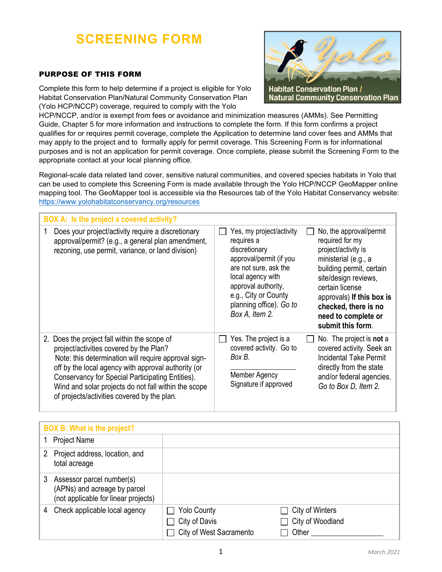# **SCREENING FORM**

## PURPOSE OF THIS FORM

Complete this form to help determine if a project is eligible for Yolo Habitat Conservation Plan/Natural Community Conservation Plan (Yolo HCP/NCCP) coverage, required to comply with the Yolo



HCP/NCCP, and/or is exempt from fees or avoidance and minimization measures (AMMs). See Permitting Guide, Chapter 5 for more information and instructions to complete the form. If this form confirms a project qualifies for or requires permit coverage, complete the Application to determine land cover fees and AMMs that may apply to the project and to formally apply for permit coverage. This Screening Form is for informational purposes and is not an application for permit coverage. Once complete, please submit the Screening Form to the appropriate contact at your local planning office.

Regional-scale data related land cover, sensitive natural communities, and covered species habitats in Yolo that can be used to complete this Screening Form is made available through the Yolo HCP/NCCP GeoMapper online mapping tool. The GeoMapper tool is accessible via the Resources tab of the Yolo Habitat Conservancy website: https://www.yolohabitatconservancy.org/resources

| BOX A: Is the project a covered activity?                                                                                                                                                                                                                                                                                                                         |                                                                                                                                                                                                                                                                                                                                                                                                                                                                                                                   |
|-------------------------------------------------------------------------------------------------------------------------------------------------------------------------------------------------------------------------------------------------------------------------------------------------------------------------------------------------------------------|-------------------------------------------------------------------------------------------------------------------------------------------------------------------------------------------------------------------------------------------------------------------------------------------------------------------------------------------------------------------------------------------------------------------------------------------------------------------------------------------------------------------|
| Does your project/activity require a discretionary<br>1<br>approval/permit? (e.g., a general plan amendment,<br>rezoning, use permit, variance, or land division)                                                                                                                                                                                                 | Yes, my project/activity<br>No, the approval/permit<br>$\mathbf{I}$<br>required for my<br>requires a<br>project/activity is<br>discretionary<br>approval/permit (if you<br>ministerial (e.g., a<br>are not sure, ask the<br>building permit, certain<br>local agency with<br>site/design reviews,<br>approval authority,<br>certain license<br>e.g., City or County<br>approvals) If this box is<br>planning office). Go to<br>checked, there is no<br>Box A, Item 2.<br>need to complete or<br>submit this form. |
| 2. Does the project fall within the scope of<br>project/activities covered by the Plan?<br>Note: this determination will require approval sign-<br>off by the local agency with approval authority (or<br>Conservancy for Special Participating Entities).<br>Wind and solar projects do not fall within the scope<br>of projects/activities covered by the plan. | Yes. The project is a<br>No. The project is <b>not</b> a<br>$\mathbf{L}$<br>$\sim$<br>covered activity. Go to<br>covered activity. Seek an<br>Box B.<br><b>Incidental Take Permit</b><br>directly from the state<br><b>Member Agency</b><br>and/or federal agencies.<br>Signature if approved<br>Go to Box D, Item 2.                                                                                                                                                                                             |

|   | <b>BOX B: What is the project?</b>                                                                |                                                                |                                              |
|---|---------------------------------------------------------------------------------------------------|----------------------------------------------------------------|----------------------------------------------|
|   | <b>Project Name</b>                                                                               |                                                                |                                              |
|   | Project address, location, and<br>total acreage                                                   |                                                                |                                              |
| 3 | Assessor parcel number(s)<br>(APNs) and acreage by parcel<br>(not applicable for linear projects) |                                                                |                                              |
| 4 | Check applicable local agency                                                                     | <b>Yolo County</b><br>City of Davis<br>City of West Sacramento | City of Winters<br>City of Woodland<br>Other |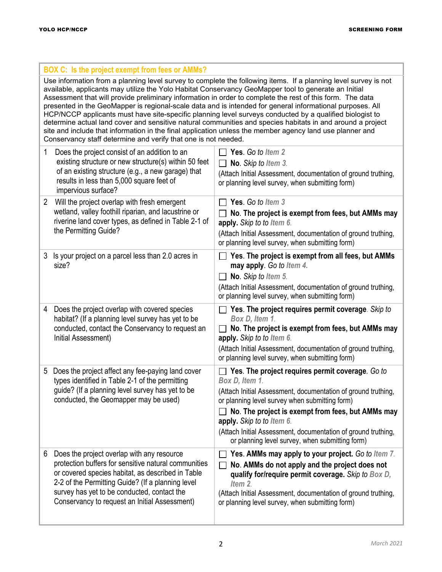п

÷

|                                                                                                                                                                                                                                                                                                                                                                                                                                                                                                                                                                                                                                                                                                                                                                                                                                                           | <b>BOX C:</b> Is the project exempt from fees or AMMs?                                                                                                                                                                                                                                                       |                                                                                                                                                                                                                                                                                                                                                                                             |  |  |  |  |
|-----------------------------------------------------------------------------------------------------------------------------------------------------------------------------------------------------------------------------------------------------------------------------------------------------------------------------------------------------------------------------------------------------------------------------------------------------------------------------------------------------------------------------------------------------------------------------------------------------------------------------------------------------------------------------------------------------------------------------------------------------------------------------------------------------------------------------------------------------------|--------------------------------------------------------------------------------------------------------------------------------------------------------------------------------------------------------------------------------------------------------------------------------------------------------------|---------------------------------------------------------------------------------------------------------------------------------------------------------------------------------------------------------------------------------------------------------------------------------------------------------------------------------------------------------------------------------------------|--|--|--|--|
| Use information from a planning level survey to complete the following items. If a planning level survey is not<br>available, applicants may utilize the Yolo Habitat Conservancy GeoMapper tool to generate an Initial<br>Assessment that will provide preliminary information in order to complete the rest of this form. The data<br>presented in the GeoMapper is regional-scale data and is intended for general informational purposes. All<br>HCP/NCCP applicants must have site-specific planning level surveys conducted by a qualified biologist to<br>determine actual land cover and sensitive natural communities and species habitats in and around a project<br>site and include that information in the final application unless the member agency land use planner and<br>Conservancy staff determine and verify that one is not needed. |                                                                                                                                                                                                                                                                                                              |                                                                                                                                                                                                                                                                                                                                                                                             |  |  |  |  |
| 1                                                                                                                                                                                                                                                                                                                                                                                                                                                                                                                                                                                                                                                                                                                                                                                                                                                         | Does the project consist of an addition to an<br>existing structure or new structure(s) within 50 feet<br>of an existing structure (e.g., a new garage) that<br>results in less than 5,000 square feet of<br>impervious surface?                                                                             | Yes. Go to Item 2<br>No. Skip to Item 3.<br>$\mathbf{L}$<br>(Attach Initial Assessment, documentation of ground truthing,<br>or planning level survey, when submitting form)                                                                                                                                                                                                                |  |  |  |  |
| 2                                                                                                                                                                                                                                                                                                                                                                                                                                                                                                                                                                                                                                                                                                                                                                                                                                                         | Will the project overlap with fresh emergent<br>wetland, valley foothill riparian, and lacustrine or<br>riverine land cover types, as defined in Table 2-1 of<br>the Permitting Guide?                                                                                                                       | Yes. Go to Item 3<br>$\Box$ No. The project is exempt from fees, but AMMs may<br>apply. Skip to to Item 6.<br>(Attach Initial Assessment, documentation of ground truthing,<br>or planning level survey, when submitting form)                                                                                                                                                              |  |  |  |  |
| 3<br>size?                                                                                                                                                                                                                                                                                                                                                                                                                                                                                                                                                                                                                                                                                                                                                                                                                                                | Is your project on a parcel less than 2.0 acres in                                                                                                                                                                                                                                                           | Yes. The project is exempt from all fees, but AMMs<br>may apply. Go to Item 4.<br>No. Skip to Item 5.<br>$\perp$<br>(Attach Initial Assessment, documentation of ground truthing,<br>or planning level survey, when submitting form)                                                                                                                                                        |  |  |  |  |
| 4                                                                                                                                                                                                                                                                                                                                                                                                                                                                                                                                                                                                                                                                                                                                                                                                                                                         | Does the project overlap with covered species<br>habitat? (If a planning level survey has yet to be<br>conducted, contact the Conservancy to request an<br>Initial Assessment)                                                                                                                               | $\Box$ Yes. The project requires permit coverage. Skip to<br>Box D, Item 1.<br>No. The project is exempt from fees, but AMMs may<br>$\mathbf{I}$<br>apply. Skip to to Item 6.<br>(Attach Initial Assessment, documentation of ground truthing,<br>or planning level survey, when submitting form)                                                                                           |  |  |  |  |
| 5                                                                                                                                                                                                                                                                                                                                                                                                                                                                                                                                                                                                                                                                                                                                                                                                                                                         | Does the project affect any fee-paying land cover<br>types identified in Table 2-1 of the permitting<br>guide? (If a planning level survey has yet to be<br>conducted, the Geomapper may be used)                                                                                                            | Yes. The project requires permit coverage. Go to<br>Box D, Item 1.<br>(Attach Initial Assessment, documentation of ground truthing,<br>or planning level survey when submitting form)<br>No. The project is exempt from fees, but AMMs may<br>apply. Skip to to Item 6.<br>(Attach Initial Assessment, documentation of ground truthing,<br>or planning level survey, when submitting form) |  |  |  |  |
| 6                                                                                                                                                                                                                                                                                                                                                                                                                                                                                                                                                                                                                                                                                                                                                                                                                                                         | Does the project overlap with any resource<br>protection buffers for sensitive natural communities<br>or covered species habitat, as described in Table<br>2-2 of the Permitting Guide? (If a planning level<br>survey has yet to be conducted, contact the<br>Conservancy to request an Initial Assessment) | Yes. AMMs may apply to your project. Go to Item 7.<br>$\mathbf{I}$<br>No. AMMs do not apply and the project does not<br>qualify for/require permit coverage. Skip to Box D,<br>Item 2.<br>(Attach Initial Assessment, documentation of ground truthing,<br>or planning level survey, when submitting form)                                                                                  |  |  |  |  |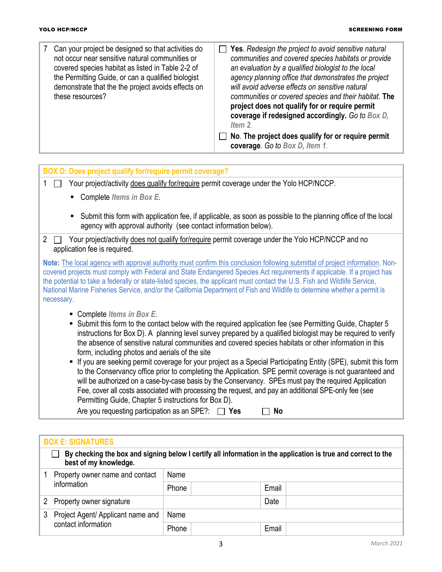| Can your project be designed so that activities do<br>not occur near sensitive natural communities or<br>covered species habitat as listed in Table 2-2 of<br>the Permitting Guide, or can a qualified biologist<br>demonstrate that the the project avoids effects on<br>these resources? | $\Box$ Yes. Redesign the project to avoid sensitive natural<br>communities and covered species habitats or provide<br>an evaluation by a qualified biologist to the local<br>agency planning office that demonstrates the project<br>will avoid adverse effects on sensitive natural<br>communities or covered species and their habitat. The<br>project does not qualify for or require permit<br>coverage if redesigned accordingly. Go to Box D,<br>Item 2. |
|--------------------------------------------------------------------------------------------------------------------------------------------------------------------------------------------------------------------------------------------------------------------------------------------|----------------------------------------------------------------------------------------------------------------------------------------------------------------------------------------------------------------------------------------------------------------------------------------------------------------------------------------------------------------------------------------------------------------------------------------------------------------|
|                                                                                                                                                                                                                                                                                            | No. The project does qualify for or require permit<br>coverage. Go to Box D, Item 1.                                                                                                                                                                                                                                                                                                                                                                           |

| BOX D: Does project qualify for/require permit coverage?                                                                                                                                                                                                                                                                                                                                                                                                                                                                                                                                                                                                                                                                                                                                                                                                                                                                 |
|--------------------------------------------------------------------------------------------------------------------------------------------------------------------------------------------------------------------------------------------------------------------------------------------------------------------------------------------------------------------------------------------------------------------------------------------------------------------------------------------------------------------------------------------------------------------------------------------------------------------------------------------------------------------------------------------------------------------------------------------------------------------------------------------------------------------------------------------------------------------------------------------------------------------------|
| Your project/activity does qualify for/require permit coverage under the Yolo HCP/NCCP.<br>$\mathbf{1}$<br>$\mathbf{L}$                                                                                                                                                                                                                                                                                                                                                                                                                                                                                                                                                                                                                                                                                                                                                                                                  |
| Complete Items in Box E.                                                                                                                                                                                                                                                                                                                                                                                                                                                                                                                                                                                                                                                                                                                                                                                                                                                                                                 |
| Submit this form with application fee, if applicable, as soon as possible to the planning office of the local<br>agency with approval authority (see contact information below).                                                                                                                                                                                                                                                                                                                                                                                                                                                                                                                                                                                                                                                                                                                                         |
| Your project/activity does not qualify for/require permit coverage under the Yolo HCP/NCCP and no<br>$\overline{2}$<br>application fee is required.                                                                                                                                                                                                                                                                                                                                                                                                                                                                                                                                                                                                                                                                                                                                                                      |
| Note: The local agency with approval authority must confirm this conclusion following submittal of project information. Non-<br>covered projects must comply with Federal and State Endangered Species Act requirements if applicable. If a project has<br>the potential to take a federally or state-listed species, the applicant must contact the U.S. Fish and Wildlife Service,<br>National Marine Fisheries Service, and/or the California Department of Fish and Wildlife to determine whether a permit is<br>necessary.                                                                                                                                                                                                                                                                                                                                                                                          |
| • Complete Items in Box E.<br>Submit this form to the contact below with the required application fee (see Permitting Guide, Chapter 5<br>instructions for Box D). A planning level survey prepared by a qualified biologist may be required to verify<br>the absence of sensitive natural communities and covered species habitats or other information in this<br>form, including photos and aerials of the site<br>If you are seeking permit coverage for your project as a Special Participating Entity (SPE), submit this form<br>to the Conservancy office prior to completing the Application. SPE permit coverage is not guaranteed and<br>will be authorized on a case-by-case basis by the Conservancy. SPEs must pay the required Application<br>Fee, cover all costs associated with processing the request, and pay an additional SPE-only fee (see<br>Permitting Guide, Chapter 5 instructions for Box D). |

Are you requesting participation as an SPE?:  $\Box$  Yes  $\Box$  No

|                                                                                                                                        | <b>BOX E: SIGNATURES</b>          |       |      |       |  |  |  |
|----------------------------------------------------------------------------------------------------------------------------------------|-----------------------------------|-------|------|-------|--|--|--|
| By checking the box and signing below I certify all information in the application is true and correct to the<br>best of my knowledge. |                                   |       |      |       |  |  |  |
|                                                                                                                                        | Property owner name and contact   |       | Name |       |  |  |  |
|                                                                                                                                        | information                       | Phone |      | Email |  |  |  |
|                                                                                                                                        | Property owner signature          |       |      | Date  |  |  |  |
| 3                                                                                                                                      | Project Agent/ Applicant name and | Name  |      |       |  |  |  |
|                                                                                                                                        | contact information               |       |      | Email |  |  |  |